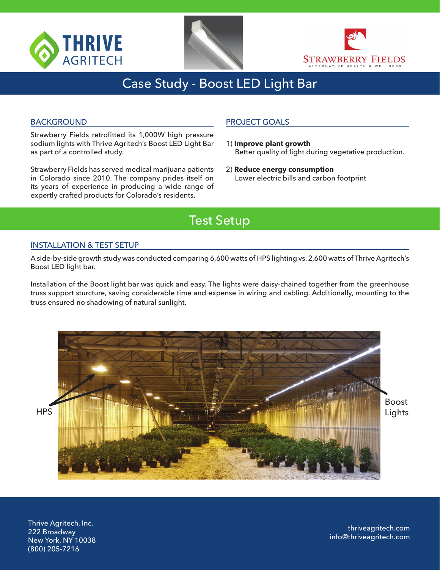





## Case Study - Boost LED Light Bar

#### BACKGROUND

Strawberry Fields retrofitted its 1,000W high pressure sodium lights with Thrive Agritech's Boost LED Light Bar as part of a controlled study.

Strawberry Fields has served medical marijuana patients in Colorado since 2010. The company prides itself on its years of experience in producing a wide range of expertly crafted products for Colorado's residents.

### PROJECT GOALS

- 1) **Improve plant growth**  Better quality of light during vegetative production.
- 2) **Reduce energy consumption** Lower electric bills and carbon footprint

## Test Setup

#### INSTALLATION & TEST SETUP

A side-by-side growth study was conducted comparing 6,600 watts of HPS lighting vs. 2,600 watts of Thrive Agritech's Boost LED light bar.

Installation of the Boost light bar was quick and easy. The lights were daisy-chained together from the greenhouse truss support sturcture, saving considerable time and expense in wiring and cabling. Additionally, mounting to the truss ensured no shadowing of natural sunlight.



Thrive Agritech, Inc. 222 Broadway New York, NY 10038 (800) 205-7216